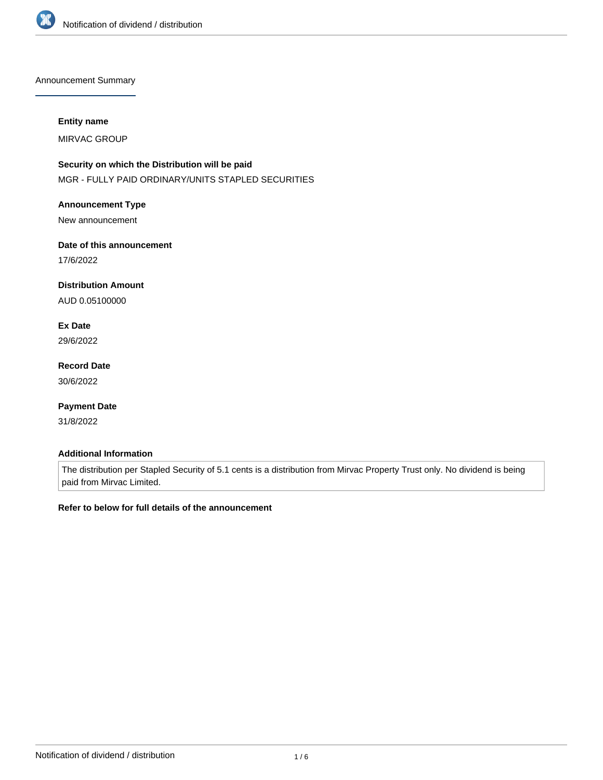

Announcement Summary

## **Entity name**

MIRVAC GROUP

# **Security on which the Distribution will be paid**

MGR - FULLY PAID ORDINARY/UNITS STAPLED SECURITIES

## **Announcement Type**

New announcement

# **Date of this announcement**

17/6/2022

# **Distribution Amount**

AUD 0.05100000

# **Ex Date**

29/6/2022

# **Record Date**

30/6/2022

# **Payment Date**

31/8/2022

# **Additional Information**

The distribution per Stapled Security of 5.1 cents is a distribution from Mirvac Property Trust only. No dividend is being paid from Mirvac Limited.

# **Refer to below for full details of the announcement**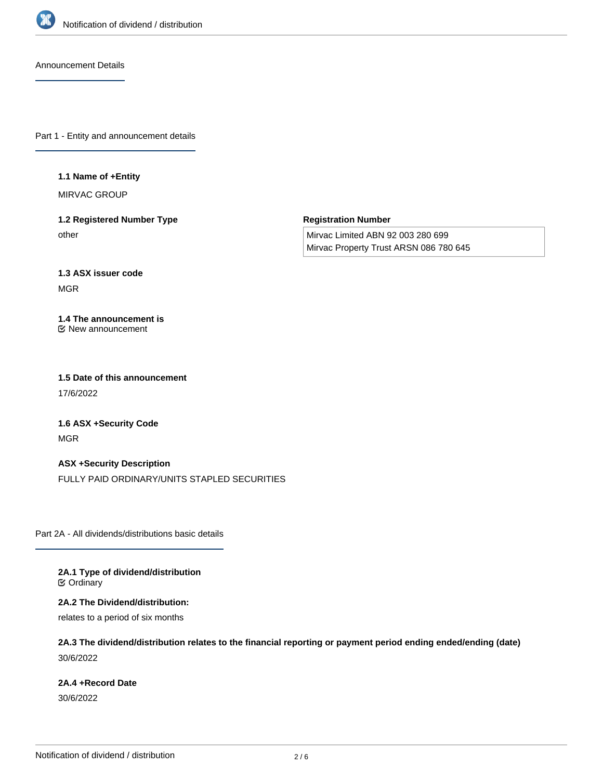

Announcement Details

Part 1 - Entity and announcement details

#### **1.1 Name of +Entity**

MIRVAC GROUP

**1.2 Registered Number Type** other

**Registration Number**

Mirvac Limited ABN 92 003 280 699 Mirvac Property Trust ARSN 086 780 645

# **1.3 ASX issuer code**

MGR

#### **1.4 The announcement is** New announcement

**1.5 Date of this announcement** 17/6/2022

**1.6 ASX +Security Code** MGR

**ASX +Security Description** FULLY PAID ORDINARY/UNITS STAPLED SECURITIES

Part 2A - All dividends/distributions basic details

**2A.1 Type of dividend/distribution** Ordinary

**2A.2 The Dividend/distribution:**

relates to a period of six months

**2A.3 The dividend/distribution relates to the financial reporting or payment period ending ended/ending (date)** 30/6/2022

# **2A.4 +Record Date**

30/6/2022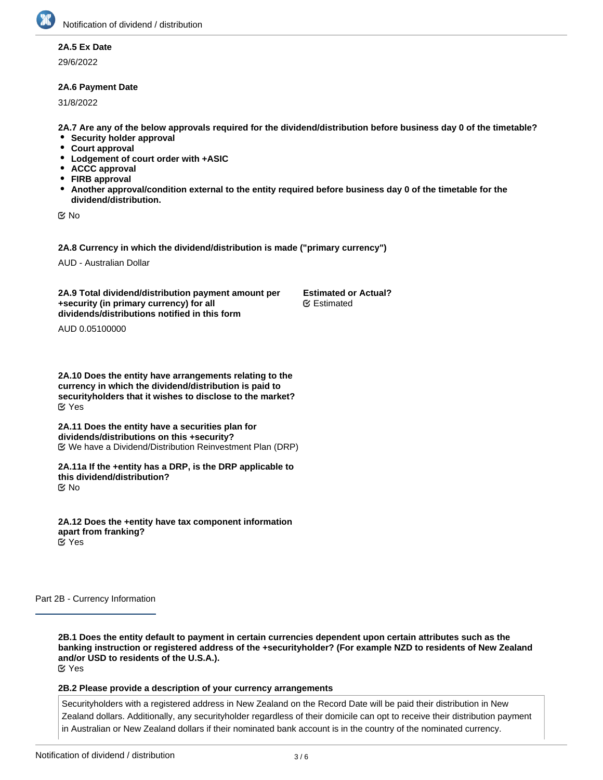# **2A.5 Ex Date**

29/6/2022

## **2A.6 Payment Date**

31/8/2022

**2A.7 Are any of the below approvals required for the dividend/distribution before business day 0 of the timetable?**

**Estimated or Actual?**

Estimated

- **•** Security holder approval
- **Court approval**
- **Lodgement of court order with +ASIC**
- **ACCC approval**
- **FIRB approval**
- **Another approval/condition external to the entity required before business day 0 of the timetable for the dividend/distribution.**

No

**2A.8 Currency in which the dividend/distribution is made ("primary currency")**

AUD - Australian Dollar

**2A.9 Total dividend/distribution payment amount per +security (in primary currency) for all dividends/distributions notified in this form**

AUD 0.05100000

**2A.10 Does the entity have arrangements relating to the currency in which the dividend/distribution is paid to securityholders that it wishes to disclose to the market?** Yes

**2A.11 Does the entity have a securities plan for dividends/distributions on this +security?** We have a Dividend/Distribution Reinvestment Plan (DRP)

**2A.11a If the +entity has a DRP, is the DRP applicable to this dividend/distribution?** No

**2A.12 Does the +entity have tax component information apart from franking?** Yes

Part 2B - Currency Information

**2B.1 Does the entity default to payment in certain currencies dependent upon certain attributes such as the banking instruction or registered address of the +securityholder? (For example NZD to residents of New Zealand and/or USD to residents of the U.S.A.).** Yes

#### **2B.2 Please provide a description of your currency arrangements**

Securityholders with a registered address in New Zealand on the Record Date will be paid their distribution in New Zealand dollars. Additionally, any securityholder regardless of their domicile can opt to receive their distribution payment in Australian or New Zealand dollars if their nominated bank account is in the country of the nominated currency.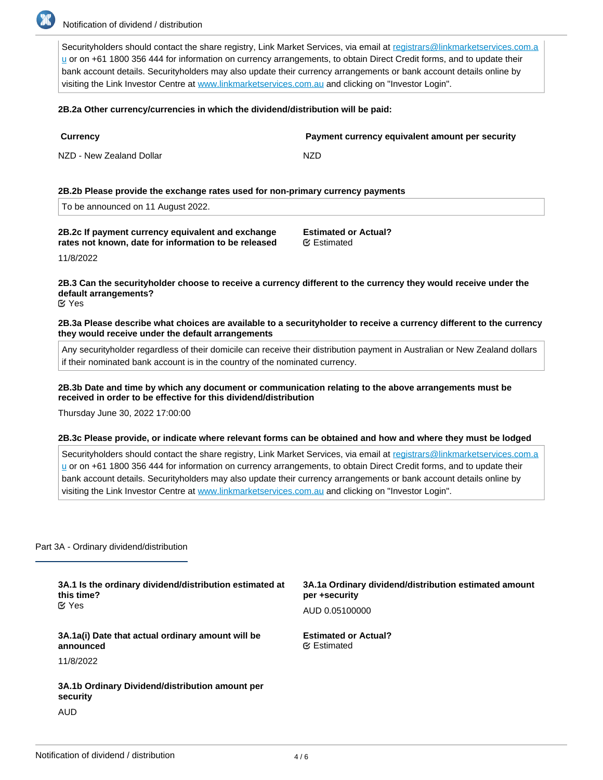

Securityholders should contact the share registry, Link Market Services, via email at registrars@linkmarketservices.com.a u or on +61 1800 356 444 for information on currency arrangements, to obtain Direct Credit forms, and to update their bank account details. Securityholders may also update their currency arrangements or bank account details online by visiting the Link Investor Centre at [www.linkmarketservices.com.au](http://www.linkmarketservices.com.au) and clicking on "Investor Login".

#### **2B.2a Other currency/currencies in which the dividend/distribution will be paid:**

| <b>Currency</b>          | Payment currency equivalent amount per security |
|--------------------------|-------------------------------------------------|
| NZD - New Zealand Dollar | NZD                                             |

## **2B.2b Please provide the exchange rates used for non-primary currency payments**

#### **2B.2c If payment currency equivalent and exchange rates not known, date for information to be released**

**Estimated or Actual?** Estimated

11/8/2022

# **2B.3 Can the securityholder choose to receive a currency different to the currency they would receive under the default arrangements?**

Yes

**2B.3a Please describe what choices are available to a securityholder to receive a currency different to the currency they would receive under the default arrangements**

Any securityholder regardless of their domicile can receive their distribution payment in Australian or New Zealand dollars if their nominated bank account is in the country of the nominated currency.

#### **2B.3b Date and time by which any document or communication relating to the above arrangements must be received in order to be effective for this dividend/distribution**

Thursday June 30, 2022 17:00:00

#### **2B.3c Please provide, or indicate where relevant forms can be obtained and how and where they must be lodged**

Securityholders should contact the share registry, Link Market Services, via email at registrars@linkmarketservices.com.a u or on +61 1800 356 444 for information on currency arrangements, to obtain Direct Credit forms, and to update their bank account details. Securityholders may also update their currency arrangements or bank account details online by visiting the Link Investor Centre at [www.linkmarketservices.com.au](http://www.linkmarketservices.com.au) and clicking on "Investor Login".

#### Part 3A - Ordinary dividend/distribution

| 3A.1 Is the ordinary dividend/distribution estimated at<br>this time?<br>$\alpha$ Yes | 3A.1a Ordinary dividend/distribution estimated amount<br>per +security<br>AUD 0.05100000 |
|---------------------------------------------------------------------------------------|------------------------------------------------------------------------------------------|
| 3A.1a(i) Date that actual ordinary amount will be<br>announced                        | <b>Estimated or Actual?</b><br><b></b> Estimated                                         |
| 11/8/2022                                                                             |                                                                                          |
| 3A.1b Ordinary Dividend/distribution amount per<br>security                           |                                                                                          |
| AUD                                                                                   |                                                                                          |

**3A.2 Is the ordinary dividend/distribution franked?**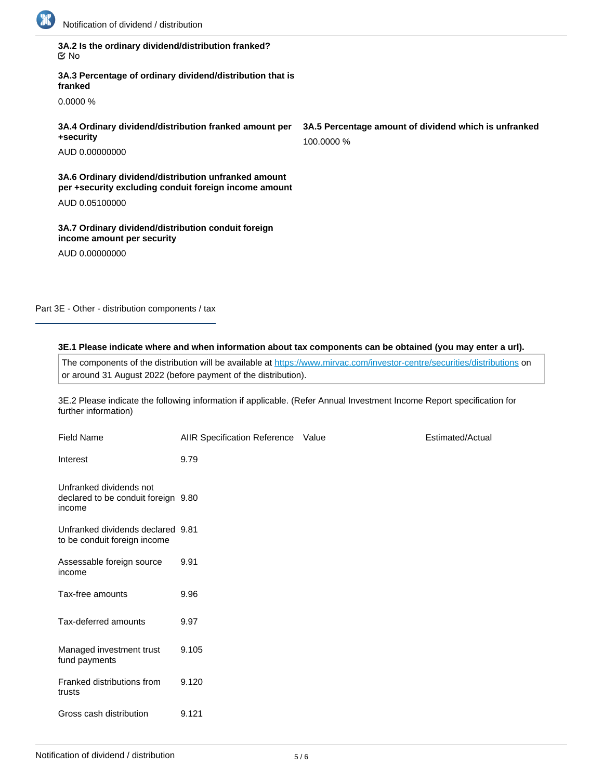

**3A.2 Is the ordinary dividend/distribution franked?** No

**3A.3 Percentage of ordinary dividend/distribution that is franked**

0.0000 %

**3A.4 Ordinary dividend/distribution franked amount per +security**

AUD 0.00000000

**3A.6 Ordinary dividend/distribution unfranked amount per +security excluding conduit foreign income amount**

AUD 0.05100000

**3A.7 Ordinary dividend/distribution conduit foreign income amount per security**

AUD 0.00000000

Part 3E - Other - distribution components / tax

# **3E.1 Please indicate where and when information about tax components can be obtained (you may enter a url).**

The components of the distribution will be available at <https://www.mirvac.com/investor-centre/securities/distributions> on or around 31 August 2022 (before payment of the distribution).

3E.2 Please indicate the following information if applicable. (Refer Annual Investment Income Report specification for further information)

| <b>Field Name</b>                                                        | AIIR Specification Reference Value | Estimated/Actual |
|--------------------------------------------------------------------------|------------------------------------|------------------|
| Interest                                                                 | 9.79                               |                  |
| Unfranked dividends not<br>declared to be conduit foreign 9.80<br>income |                                    |                  |
| Unfranked dividends declared 9.81<br>to be conduit foreign income        |                                    |                  |
| Assessable foreign source<br>income                                      | 9.91                               |                  |
| Tax-free amounts                                                         | 9.96                               |                  |
| Tax-deferred amounts                                                     | 9.97                               |                  |
| Managed investment trust<br>fund payments                                | 9.105                              |                  |
| Franked distributions from<br>trusts                                     | 9.120                              |                  |
| Gross cash distribution                                                  | 9.121                              |                  |

**3A.5 Percentage amount of dividend which is unfranked** 100.0000 %